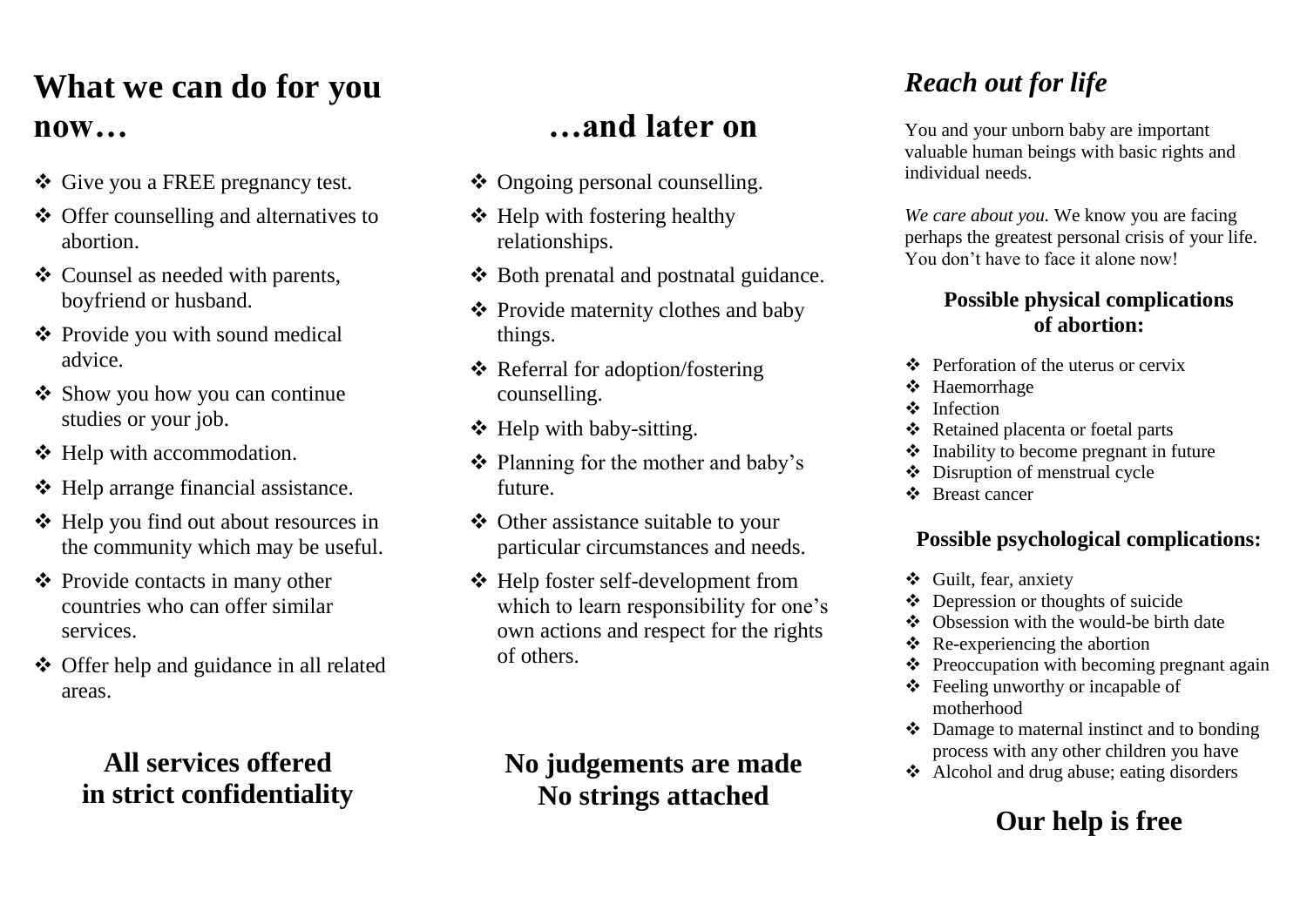### **What we can do for you now…**

- Give you a FREE pregnancy test.
- Offer counselling and alternatives to abortion.
- Counsel as needed with parents, boyfriend or husband.
- Provide you with sound medical advice.
- Show you how you can continue studies or your job.
- $\triangleleft$  Help with accommodation.
- $\triangleleft$  Help arrange financial assistance.
- $\div$  Help you find out about resources in the community which may be useful.
- **❖** Provide contacts in many other countries who can offer similar services.
- Offer help and guidance in all related areas.

### **All services offered in strict confidentiality**

### **…and later on**

- ❖ Ongoing personal counselling.
- $\triangleleft$  Help with fostering healthy relationships.
- $\triangle$  Both prenatal and postnatal guidance.
- $\triangle$  Provide maternity clothes and baby things.
- Referral for adoption/fostering counselling.
- Help with baby-sitting.
- $\triangleleft$  Planning for the mother and baby's future.
- Other assistance suitable to your particular circumstances and needs.
- Help foster self-development from which to learn responsibility for one's own actions and respect for the rights of others.

### **No judgements are made No strings attached**

### *Reach out for life*

You and your unborn baby are important valuable human beings with basic rights and individual needs.

*We care about you.* We know you are facing perhaps the greatest personal crisis of your life. You don't have to face it alone now!

#### **Possible physical complications of abortion:**

- Perforation of the uterus or cervix
- Haemorrhage
- **\*** Infection
- Retained placenta or foetal parts
- $\triangle$  Inability to become pregnant in future
- Disruption of menstrual cycle
- Breast cancer

#### **Possible psychological complications:**

- Guilt, fear, anxiety
- $\triangleleft$  Depression or thoughts of suicide
- ❖ Obsession with the would-be birth date
- $\triangle$  Re-experiencing the abortion
- $\triangle$  Preoccupation with becoming pregnant again
- Feeling unworthy or incapable of motherhood
- $\triangle$  Damage to maternal instinct and to bonding process with any other children you have
- Alcohol and drug abuse; eating disorders

### **Our help is free**